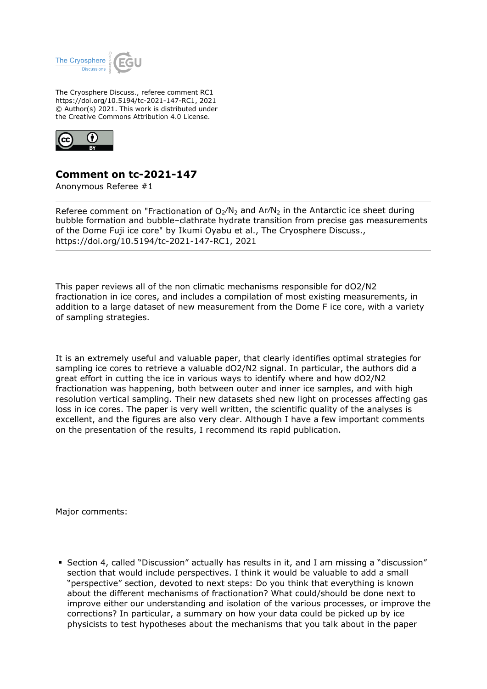

The Cryosphere Discuss., referee comment RC1 https://doi.org/10.5194/tc-2021-147-RC1, 2021 © Author(s) 2021. This work is distributed under the Creative Commons Attribution 4.0 License.



## **Comment on tc-2021-147**

Anonymous Referee #1

Referee comment on "Fractionation of  $O_2/N_2$  and Ar/N<sub>2</sub> in the Antarctic ice sheet during bubble formation and bubble–clathrate hydrate transition from precise gas measurements of the Dome Fuji ice core" by Ikumi Oyabu et al., The Cryosphere Discuss., https://doi.org/10.5194/tc-2021-147-RC1, 2021

This paper reviews all of the non climatic mechanisms responsible for dO2/N2 fractionation in ice cores, and includes a compilation of most existing measurements, in addition to a large dataset of new measurement from the Dome F ice core, with a variety of sampling strategies.

It is an extremely useful and valuable paper, that clearly identifies optimal strategies for sampling ice cores to retrieve a valuable dO2/N2 signal. In particular, the authors did a great effort in cutting the ice in various ways to identify where and how dO2/N2 fractionation was happening, both between outer and inner ice samples, and with high resolution vertical sampling. Their new datasets shed new light on processes affecting gas loss in ice cores. The paper is very well written, the scientific quality of the analyses is excellent, and the figures are also very clear. Although I have a few important comments on the presentation of the results, I recommend its rapid publication.

Major comments:

Section 4, called "Discussion" actually has results in it, and I am missing a "discussion" section that would include perspectives. I think it would be valuable to add a small "perspective" section, devoted to next steps: Do you think that everything is known about the different mechanisms of fractionation? What could/should be done next to improve either our understanding and isolation of the various processes, or improve the corrections? In particular, a summary on how your data could be picked up by ice physicists to test hypotheses about the mechanisms that you talk about in the paper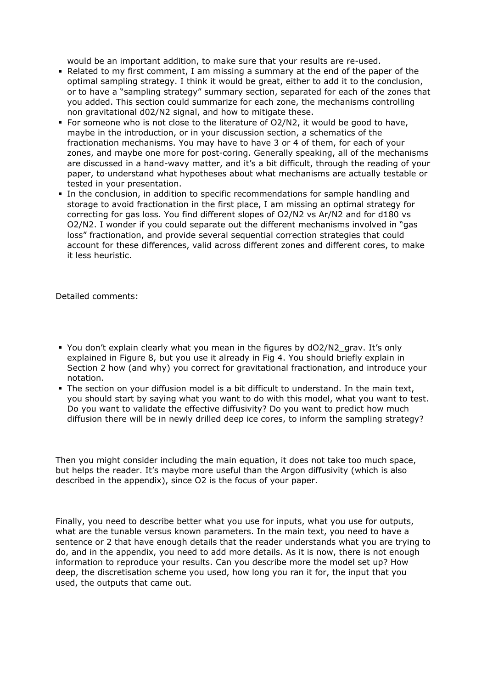would be an important addition, to make sure that your results are re-used.

- Related to my first comment, I am missing a summary at the end of the paper of the optimal sampling strategy. I think it would be great, either to add it to the conclusion, or to have a "sampling strategy" summary section, separated for each of the zones that you added. This section could summarize for each zone, the mechanisms controlling non gravitational d02/N2 signal, and how to mitigate these.
- For someone who is not close to the literature of O2/N2, it would be good to have, maybe in the introduction, or in your discussion section, a schematics of the fractionation mechanisms. You may have to have 3 or 4 of them, for each of your zones, and maybe one more for post-coring. Generally speaking, all of the mechanisms are discussed in a hand-wavy matter, and it's a bit difficult, through the reading of your paper, to understand what hypotheses about what mechanisms are actually testable or tested in your presentation.
- In the conclusion, in addition to specific recommendations for sample handling and storage to avoid fractionation in the first place, I am missing an optimal strategy for correcting for gas loss. You find different slopes of O2/N2 vs Ar/N2 and for d180 vs O2/N2. I wonder if you could separate out the different mechanisms involved in "gas loss" fractionation, and provide several sequential correction strategies that could account for these differences, valid across different zones and different cores, to make it less heuristic.

Detailed comments:

- You don't explain clearly what you mean in the figures by dO2/N2 grav. It's only explained in Figure 8, but you use it already in Fig 4. You should briefly explain in Section 2 how (and why) you correct for gravitational fractionation, and introduce your notation.
- The section on your diffusion model is a bit difficult to understand. In the main text, you should start by saying what you want to do with this model, what you want to test. Do you want to validate the effective diffusivity? Do you want to predict how much diffusion there will be in newly drilled deep ice cores, to inform the sampling strategy?

Then you might consider including the main equation, it does not take too much space, but helps the reader. It's maybe more useful than the Argon diffusivity (which is also described in the appendix), since O2 is the focus of your paper.

Finally, you need to describe better what you use for inputs, what you use for outputs, what are the tunable versus known parameters. In the main text, you need to have a sentence or 2 that have enough details that the reader understands what you are trying to do, and in the appendix, you need to add more details. As it is now, there is not enough information to reproduce your results. Can you describe more the model set up? How deep, the discretisation scheme you used, how long you ran it for, the input that you used, the outputs that came out.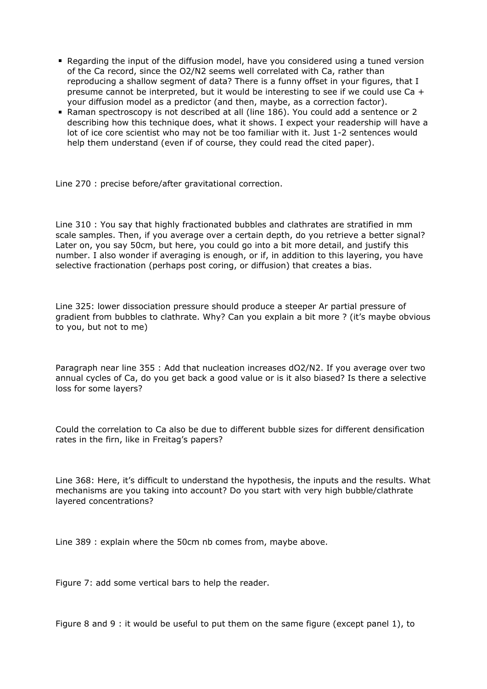- Regarding the input of the diffusion model, have you considered using a tuned version of the Ca record, since the O2/N2 seems well correlated with Ca, rather than reproducing a shallow segment of data? There is a funny offset in your figures, that I presume cannot be interpreted, but it would be interesting to see if we could use Ca + your diffusion model as a predictor (and then, maybe, as a correction factor).
- Raman spectroscopy is not described at all (line 186). You could add a sentence or 2 describing how this technique does, what it shows. I expect your readership will have a lot of ice core scientist who may not be too familiar with it. Just 1-2 sentences would help them understand (even if of course, they could read the cited paper).

Line 270 : precise before/after gravitational correction.

Line 310 : You say that highly fractionated bubbles and clathrates are stratified in mm scale samples. Then, if you average over a certain depth, do you retrieve a better signal? Later on, you say 50cm, but here, you could go into a bit more detail, and justify this number. I also wonder if averaging is enough, or if, in addition to this layering, you have selective fractionation (perhaps post coring, or diffusion) that creates a bias.

Line 325: lower dissociation pressure should produce a steeper Ar partial pressure of gradient from bubbles to clathrate. Why? Can you explain a bit more ? (it's maybe obvious to you, but not to me)

Paragraph near line 355 : Add that nucleation increases dO2/N2. If you average over two annual cycles of Ca, do you get back a good value or is it also biased? Is there a selective loss for some layers?

Could the correlation to Ca also be due to different bubble sizes for different densification rates in the firn, like in Freitag's papers?

Line 368: Here, it's difficult to understand the hypothesis, the inputs and the results. What mechanisms are you taking into account? Do you start with very high bubble/clathrate layered concentrations?

Line 389 : explain where the 50cm nb comes from, maybe above.

Figure 7: add some vertical bars to help the reader.

Figure 8 and 9 : it would be useful to put them on the same figure (except panel 1), to